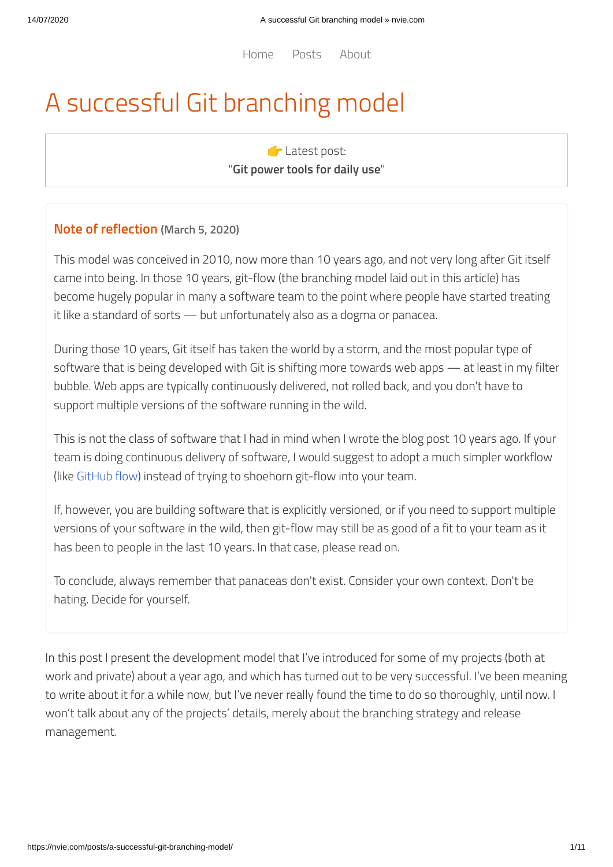[Home](https://nvie.com/) [Posts](https://nvie.com/posts/) [About](https://nvie.com/about/)

# A successful Git branching model

**C** Latest post: "**Git [power](https://nvie.com/posts/git-power-tools/) tools for daily use**"

### **Note of reflection (March 5, 2020)**

This model was conceived in 2010, now more than 10 years ago, and not very long after Git itself came into being. In those 10 years, git-flow (the branching model laid out in this article) has become hugely popular in many a software team to the point where people have started treating it like a standard of sorts — but unfortunately also as a dogma or panacea.

During those 10 years, Git itself has taken the world by a storm, and the most popular type of software that is being developed with Git is shifting more towards web apps — at least in my filter bubble. Web apps are typically continuously delivered, not rolled back, and you don't have to support multiple versions of the software running in the wild.

This is not the class of software that I had in mind when I wrote the blog post 10 years ago. If your team is doing continuous delivery of software, I would suggest to adopt a much simpler workflow (like [GitHub](https://guides.github.com/introduction/flow/) flow) instead of trying to shoehorn git-flow into your team.

If, however, you are building software that is explicitly versioned, or if you need to support multiple versions of your software in the wild, then git-flow may still be as good of a fit to your team as it has been to people in the last 10 years. In that case, please read on.

To conclude, always remember that panaceas don't exist. Consider your own context. Don't be hating. Decide for yourself.

In this post I present the development model that I've introduced for some of my projects (both at work and private) about a year ago, and which has turned out to be very successful. I've been meaning to write about it for a while now, but I've never really found the time to do so thoroughly, until now. I won't talk about any of the projects' details, merely about the branching strategy and release management.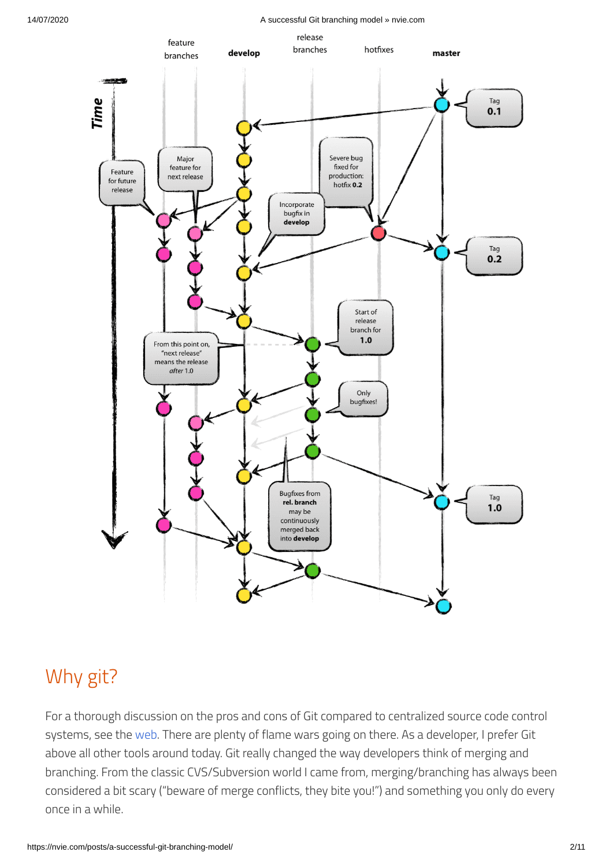14/07/2020 A successful Git branching model » nvie.com



# Why git?

For a thorough discussion on the pros and cons of Git compared to centralized source code control systems, see the [web.](http://git.or.cz/gitwiki/GitSvnComparsion) There are plenty of flame wars going on there. As a developer, I prefer Git above all other tools around today. Git really changed the way developers think of merging and branching. From the classic CVS/Subversion world I came from, merging/branching has always been considered a bit scary ("beware of merge conflicts, they bite you!") and something you only do every once in a while.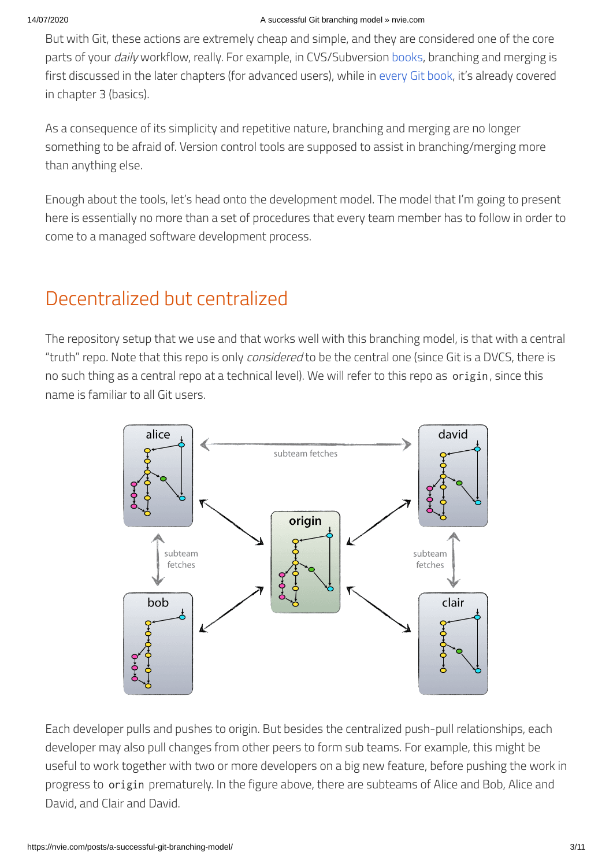But with Git, these actions are extremely cheap and simple, and they are considered one of the core parts of your *daily* workflow, really. For example, in CVS/Subversion [books,](http://svnbook.red-bean.com/) branching and merging is first discussed in the later chapters (for advanced users), while in [every](http://book.git-scm.com/) [Git](http://pragprog.com/titles/tsgit/pragmatic-version-control-using-git) [book](http://github.com/progit/progit), it's already covered in chapter 3 (basics).

As a consequence of its simplicity and repetitive nature, branching and merging are no longer something to be afraid of. Version control tools are supposed to assist in branching/merging more than anything else.

Enough about the tools, let's head onto the development model. The model that I'm going to present here is essentially no more than a set of procedures that every team member has to follow in order to come to a managed software development process.

# Decentralized but centralized

The repository setup that we use and that works well with this branching model, is that with a central "truth" repo. Note that this repo is only considered to be the central one (since Git is a DVCS, there is no such thing as a central repo at a technical level). We will refer to this repo as origin, since this name is familiar to all Git users.



Each developer pulls and pushes to origin. But besides the centralized push-pull relationships, each developer may also pull changes from other peers to form sub teams. For example, this might be useful to work together with two or more developers on a big new feature, before pushing the work in progress to origin prematurely. In the figure above, there are subteams of Alice and Bob, Alice and David, and Clair and David.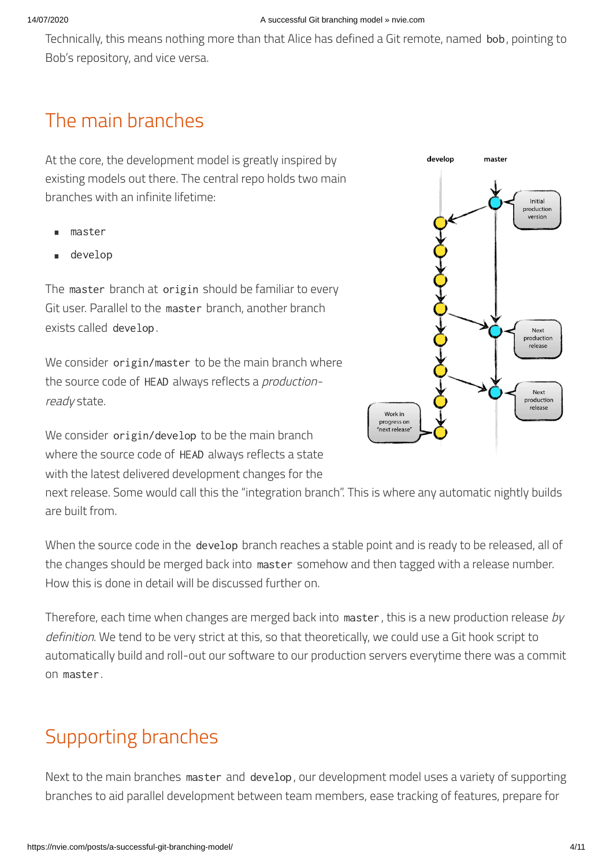#### 14/07/2020 A successful Git branching model » nvie.com

Technically, this means nothing more than that Alice has defined a Git remote, named bob, pointing to Bob's repository, and vice versa.

### The main branches

At the core, the development model is greatly inspired by existing models out there. The central repo holds two main branches with an infinite lifetime:

- master •
- develop •

The master branch at origin should be familiar to every Git user. Parallel to the master branch, another branch exists called develop.

We consider origin/master to be the main branch where the source code of HEAD always reflects a *production*ready state.

We consider origin/develop to be the main branch where the source code of HEAD always reflects a state with the latest delivered development changes for the

next release. Some would call this the "integration branch". This is where any automatic nightly builds are built from.

When the source code in the develop branch reaches a stable point and is ready to be released, all of the changes should be merged back into master somehow and then tagged with a release number. How this is done in detail will be discussed further on.

Therefore, each time when changes are merged back into master, this is a new production release by definition. We tend to be very strict at this, so that theoretically, we could use a Git hook script to automatically build and roll-out our software to our production servers everytime there was a commit on master.

# Supporting branches

Next to the main branches master and develop, our development model uses a variety of supporting branches to aid parallel development between team members, ease tracking of features, prepare for

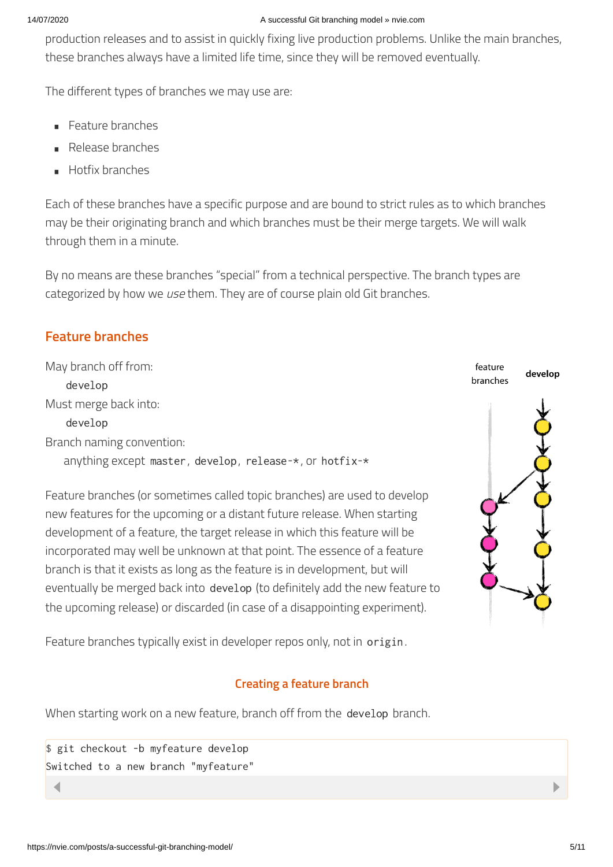#### 14/07/2020 A successful Git branching model » nvie.com

production releases and to assist in quickly fixing live production problems. Unlike the main branches, these branches always have a limited life time, since they will be removed eventually.

The different types of branches we may use are:

- Feature branches •
- Release branches •
- Hotfix branches •

Each of these branches have a specific purpose and are bound to strict rules as to which branches may be their originating branch and which branches must be their merge targets. We will walk through them in a minute.

By no means are these branches "special" from a technical perspective. The branch types are categorized by how we use them. They are of course plain old Git branches.

### **Feature branches**

May branch off from: develop Must merge back into: develop Branch naming convention: anything except master, develop, release-\*, or hotfix-\*

Feature branches (or sometimes called topic branches) are used to develop new features for the upcoming or a distant future release. When starting development of a feature, the target release in which this feature will be incorporated may well be unknown at that point. The essence of a feature branch is that it exists as long as the feature is in development, but will eventually be merged back into develop (to definitely add the new feature to the upcoming release) or discarded (in case of a disappointing experiment).



Feature branches typically exist in developer repos only, not in origin.

### **Creating a feature branch**

When starting work on a new feature, branch off from the develop branch.

\$ git checkout -b myfeature develop Switched to a new branch "myfeature"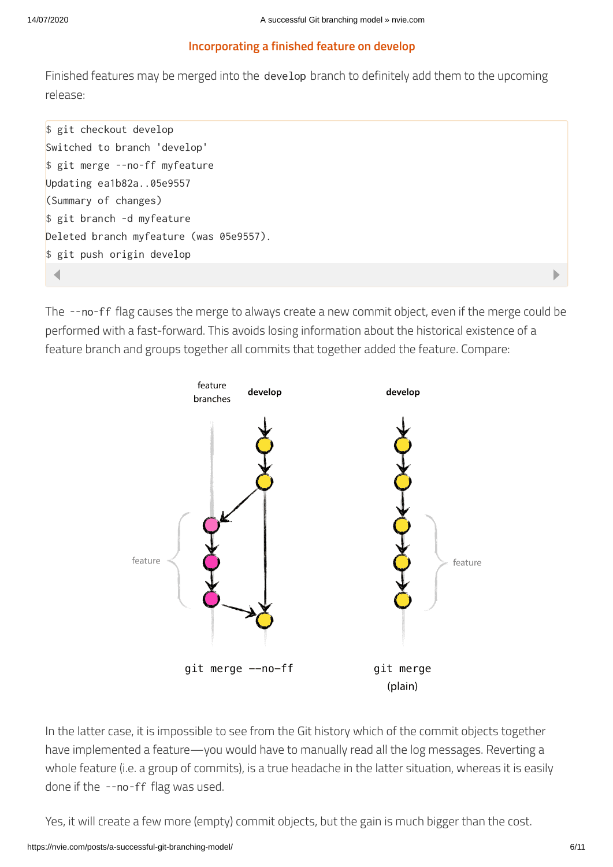#### **Incorporating a finished feature on develop**

Finished features may be merged into the develop branch to definitely add them to the upcoming release:

\$ git checkout develop Switched to branch 'develop' \$ git merge --no-ff myfeature Updating ea1b82a..05e9557 (Summary of changes) \$ git branch -d myfeature Deleted branch myfeature (was 05e9557). \$ git push origin develop

The --no-ff flag causes the merge to always create a new commit object, even if the merge could be performed with a fast-forward. This avoids losing information about the historical existence of a feature branch and groups together all commits that together added the feature. Compare:



In the latter case, it is impossible to see from the Git history which of the commit objects together have implemented a feature—you would have to manually read all the log messages. Reverting a whole feature (i.e. a group of commits), is a true headache in the latter situation, whereas it is easily done if the --no-ff flag was used.

Yes, it will create a few more (empty) commit objects, but the gain is much bigger than the cost.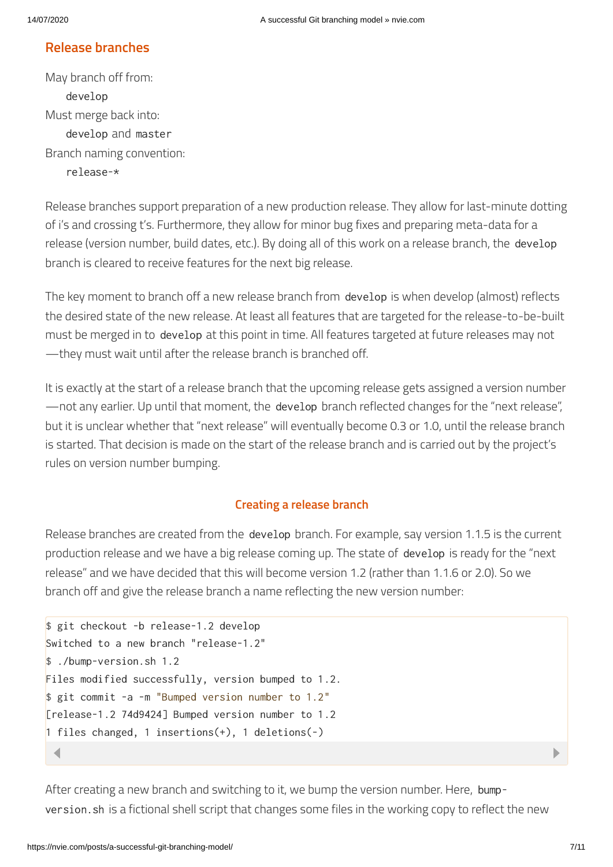### **Release branches**

May branch off from: develop Must merge back into: develop and master Branch naming convention: release-\*

Release branches support preparation of a new production release. They allow for last-minute dotting of i's and crossing t's. Furthermore, they allow for minor bug fixes and preparing meta-data for a release (version number, build dates, etc.). By doing all of this work on a release branch, the develop branch is cleared to receive features for the next big release.

The key moment to branch off a new release branch from develop is when develop (almost) reflects the desired state of the new release. At least all features that are targeted for the release-to-be-built must be merged in to develop at this point in time. All features targeted at future releases may not —they must wait until after the release branch is branched off.

It is exactly at the start of a release branch that the upcoming release gets assigned a version number —not any earlier. Up until that moment, the develop branch reflected changes for the "next release", but it is unclear whether that "next release" will eventually become 0.3 or 1.0, until the release branch is started. That decision is made on the start of the release branch and is carried out by the project's rules on version number bumping.

#### **Creating a release branch**

Release branches are created from the develop branch. For example, say version 1.1.5 is the current production release and we have a big release coming up. The state of develop is ready for the "next release" and we have decided that this will become version 1.2 (rather than 1.1.6 or 2.0). So we branch off and give the release branch a name reflecting the new version number:

```
$ git checkout -b release-1.2 develop
Switched to a new branch "release-1.2"
$ ./bump-version.sh 1.2
Files modified successfully, version bumped to 1.2.
$ git commit -a -m "Bumped version number to 1.2"
[release-1.2 74d9424] Bumped version number to 1.2
1 files changed, 1 insertions(+), 1 deletions(-)
```
After creating a new branch and switching to it, we bump the version number. Here, bumpversion.sh is a fictional shell script that changes some files in the working copy to reflect the new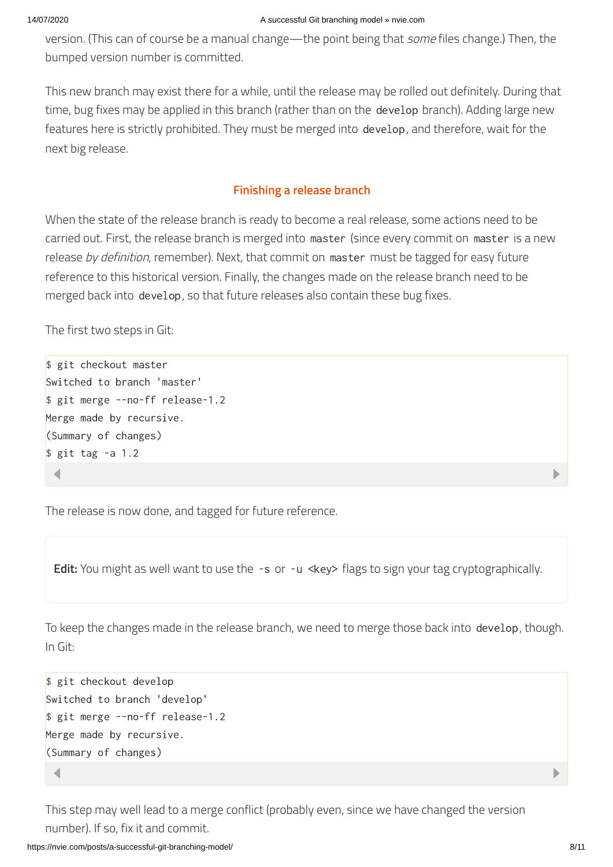version. (This can of course be a manual change—the point being that *some* files change.) Then, the bumped version number is committed.

This new branch may exist there for a while, until the release may be rolled out definitely. During that time, bug fixes may be applied in this branch (rather than on the develop branch). Adding large new features here is strictly prohibited. They must be merged into develop, and therefore, wait for the next big release.

#### **Finishing a release branch**

When the state of the release branch is ready to become a real release, some actions need to be carried out. First, the release branch is merged into master (since every commit on master is a new release by definition, remember). Next, that commit on master must be tagged for easy future reference to this historical version. Finally, the changes made on the release branch need to be merged back into develop, so that future releases also contain these bug fixes.

The first two steps in Git:

```
$ git checkout master
Switched to branch 'master'
$ git merge --no-ff release-1.2
Merge made by recursive.
(Summary of changes)
$ git tag -a 1.2
```
The release is now done, and tagged for future reference.

**Edit:** You might as well want to use the -s or -u <key> flags to sign your tag cryptographically.

To keep the changes made in the release branch, we need to merge those back into develop, though. In Git:

```
$ git checkout develop
Switched to branch 'develop'
$ git merge --no-ff release-1.2
Merge made by recursive.
(Summary of changes)
```
This step may well lead to a merge conflict (probably even, since we have changed the version number). If so, fix it and commit.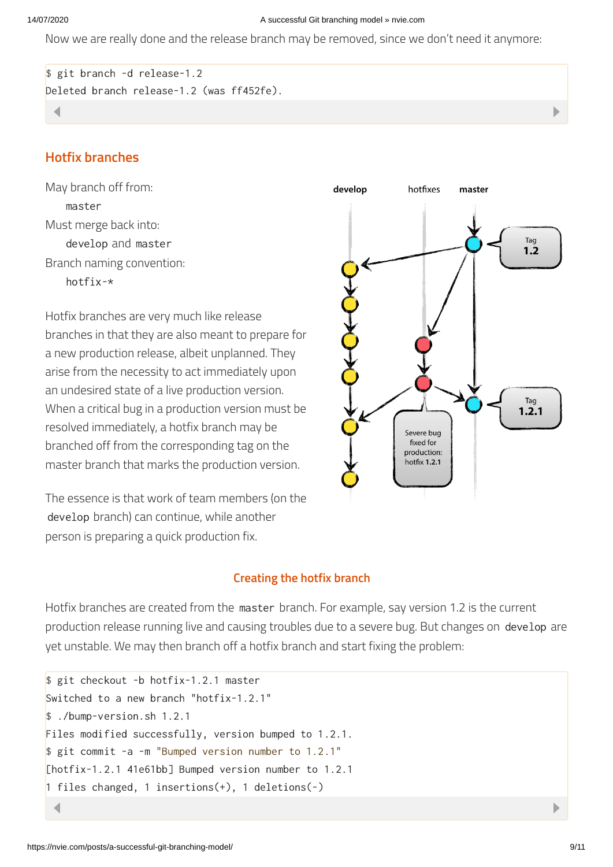#### 14/07/2020 A successful Git branching model » nvie.com

Now we are really done and the release branch may be removed, since we don't need it anymore:

```
$ git branch -d release-1.2
Deleted branch release-1.2 (was ff452fe).
```
### **Hotfix branches**

May branch off from: master Must merge back into: develop and master Branch naming convention: hotfix-\*

Hotfix branches are very much like release branches in that they are also meant to prepare for a new production release, albeit unplanned. They arise from the necessity to act immediately upon an undesired state of a live production version. When a critical bug in a production version must be resolved immediately, a hotfix branch may be branched off from the corresponding tag on the master branch that marks the production version.

The essence is that work of team members (on the develop branch) can continue, while another person is preparing a quick production fix.

#### **Creating the hotfix branch**

Hotfix branches are created from the master branch. For example, say version 1.2 is the current production release running live and causing troubles due to a severe bug. But changes on develop are yet unstable. We may then branch off a hotfix branch and start fixing the problem:

```
$ git checkout -b hotfix-1.2.1 master
Switched to a new branch "hotfix-1.2.1"
$ ./bump-version.sh 1.2.1
Files modified successfully, version bumped to 1.2.1.
$ git commit -a -m "Bumped version number to 1.2.1"
[hotfix-1.2.1 41e61bb] Bumped version number to 1.2.1
1 files changed, 1 insertions(+), 1 deletions(-)
```
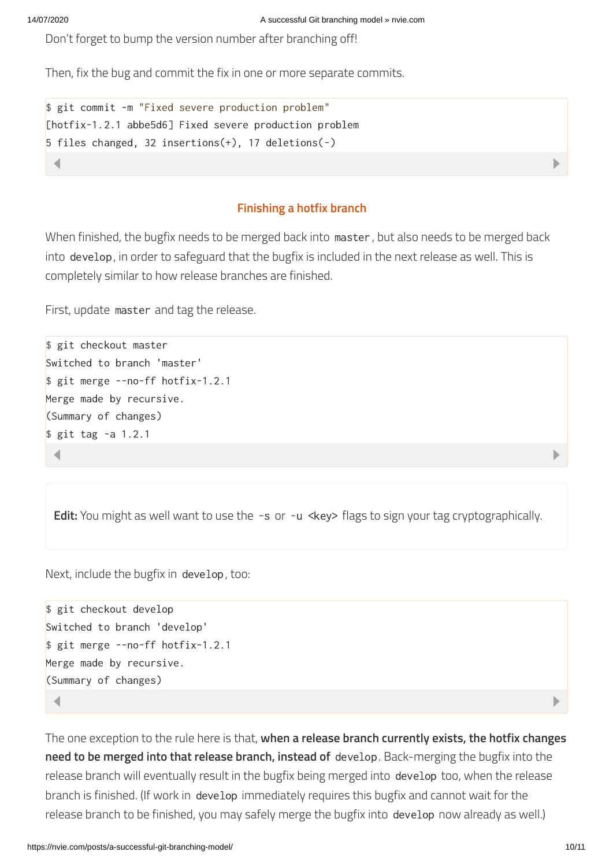Don't forget to bump the version number after branching off!

Then, fix the bug and commit the fix in one or more separate commits.

```
$ git commit -m "Fixed severe production problem"
[hotfix-1.2.1 abbe5d6] Fixed severe production problem
5 files changed, 32 insertions(+), 17 deletions(-)
```
#### **Finishing a hotfix branch**

When finished, the bugfix needs to be merged back into master, but also needs to be merged back into develop, in order to safeguard that the bugfix is included in the next release as well. This is completely similar to how release branches are finished.

First, update master and tag the release.

```
$ git checkout master
Switched to branch 'master'
$ git merge --no-ff hotfix-1.2.1
Merge made by recursive.
(Summary of changes)
$ git tag -a 1.2.1
```
**Edit:** You might as well want to use the -s or -u <key> flags to sign your tag cryptographically.

Next, include the bugfix in develop, too:

```
$ git checkout develop
Switched to branch 'develop'
$ git merge --no-ff hotfix-1.2.1
Merge made by recursive.
(Summary of changes)
```
The one exception to the rule here is that, **when a release branch currently exists, the hotfix changes need to be merged into that release branch, instead of** develop. Back-merging the bugfix into the release branch will eventually result in the bugfix being merged into develop too, when the release branch is finished. (If work in develop immediately requires this bugfix and cannot wait for the release branch to be finished, you may safely merge the bugfix into develop now already as well.)